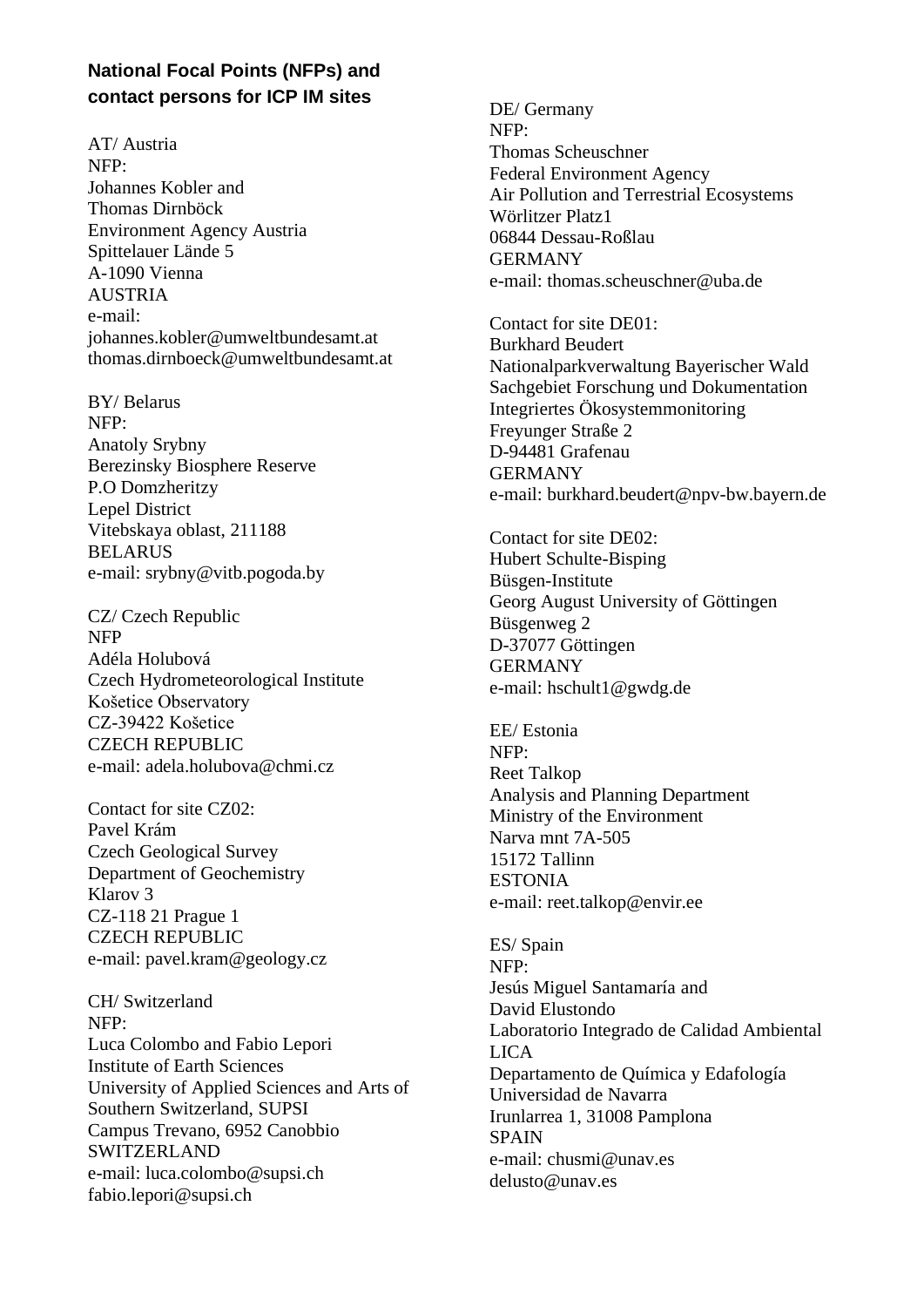## **National Focal Points (NFPs) and contact persons for ICP IM sites**

AT/ Austria NFP: Johannes Kobler and Thomas Dirnböck Environment Agency Austria Spittelauer Lände 5 A-1090 Vienna **AUSTRIA** e-mail: johannes.kobler@umweltbundesamt.at thomas.dirnboeck@umweltbundesamt.at

BY/ Belarus NFP: Anatoly Srybny Berezinsky Biosphere Reserve P.O Domzheritzy Lepel District Vitebskaya oblast, 211188 BELARUS e-mail: srybny@vitb.pogoda.by

CZ/ Czech Republic NFP Adéla Holubová Czech Hydrometeorological Institute Košetice Observatory CZ-39422 Košetice CZECH REPUBLIC e-mail: adela.holubova@chmi.cz

Contact for site CZ02: Pavel Krám Czech Geological Survey Department of Geochemistry Klarov 3 CZ-118 21 Prague 1 CZECH REPUBLIC e-mail: pavel.kram@geology.cz

CH/ Switzerland NFP: Luca Colombo and Fabio Lepori Institute of Earth Sciences University of Applied Sciences and Arts of Southern Switzerland, SUPSI Campus Trevano, 6952 Canobbio SWITZERLAND e-mail: luca.colombo@supsi.ch fabio.lepori@supsi.ch

DE/ Germany NFP: Thomas Scheuschner Federal Environment Agency Air Pollution and Terrestrial Ecosystems Wörlitzer Platz1 06844 Dessau-Roßlau **GERMANY** e-mail: thomas.scheuschner@uba.de

Contact for site DE01: Burkhard Beudert Nationalparkverwaltung Bayerischer Wald Sachgebiet Forschung und Dokumentation Integriertes Ökosystemmonitoring Freyunger Straße 2 D-94481 Grafenau GERMANY e-mail: burkhard.beudert@npv-bw.bayern.de

Contact for site DE02: Hubert Schulte-Bisping Büsgen-Institute Georg August University of Göttingen Büsgenweg 2 D-37077 Göttingen GERMANY e-mail: hschult1@gwdg.de

EE/ Estonia NFP: Reet Talkop Analysis and Planning Department Ministry of the Environment Narva mnt 7A-505 15172 Tallinn **ESTONIA** e-mail: reet.talkop@envir.ee

ES/ Spain NFP: Jesús Miguel Santamaría and David Elustondo Laboratorio Integrado de Calidad Ambiental LICA Departamento de Química y Edafología Universidad de Navarra Irunlarrea 1, 31008 Pamplona SPAIN e-mail: chusmi@unav.es delusto@unav.es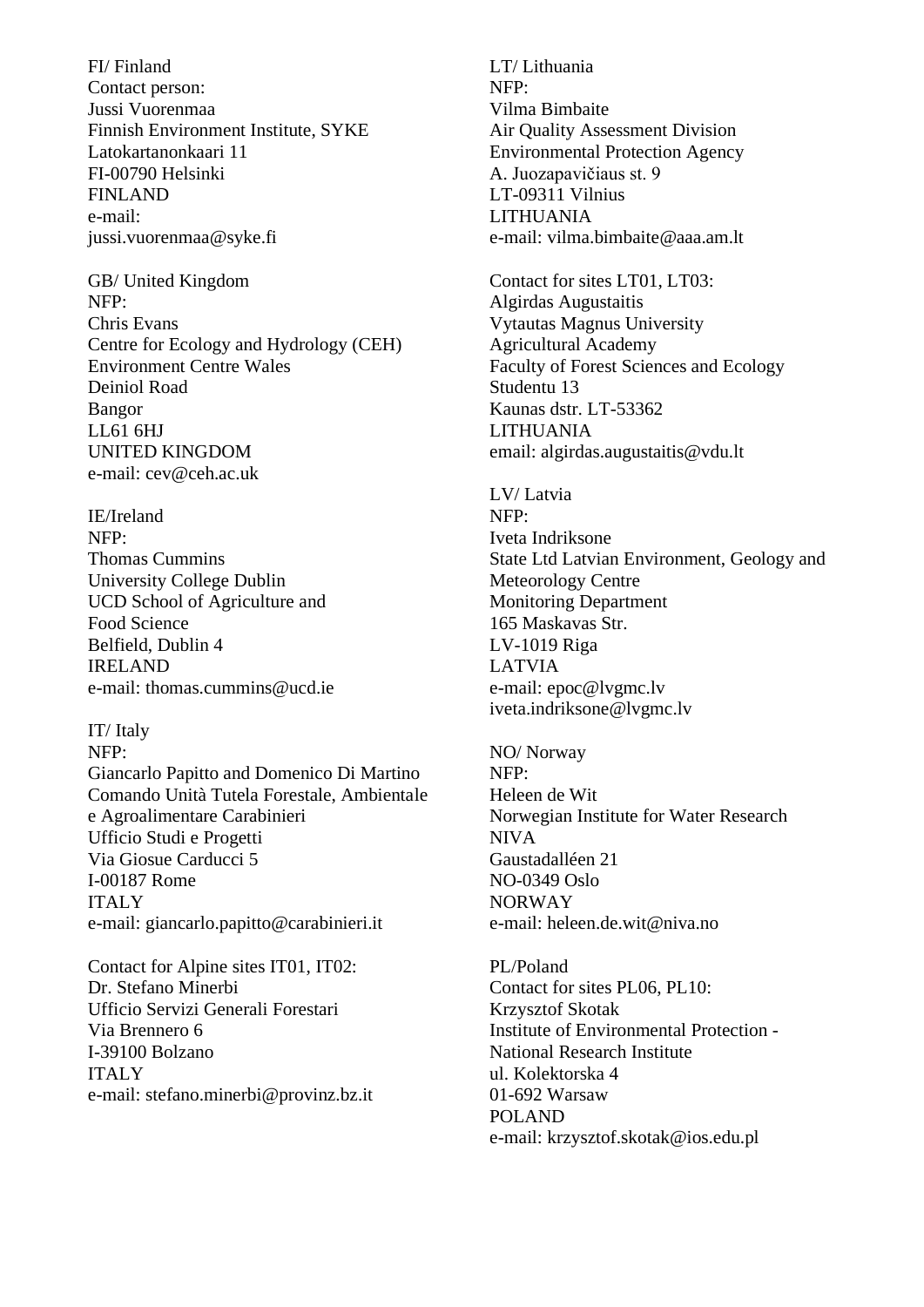FI/ Finland Contact person: Jussi Vuorenmaa Finnish Environment Institute, SYKE Latokartanonkaari 11 FI-00790 Helsinki FINLAND e-mail: jussi.vuorenmaa@syke.fi

GB/ United Kingdom NFP: Chris Evans Centre for Ecology and Hydrology (CEH) Environment Centre Wales Deiniol Road Bangor LL61 6HJ UNITED KINGDOM e-mail: cev@ceh.ac.uk

IE/Ireland NFP: Thomas Cummins University College Dublin UCD School of Agriculture and Food Science Belfield, Dublin 4 IRELAND e-mail: thomas.cummins@ucd.ie

IT/ Italy NFP: Giancarlo Papitto and Domenico Di Martino Comando Unità Tutela Forestale, Ambientale e Agroalimentare Carabinieri Ufficio Studi e Progetti Via Giosue Carducci 5 I-00187 Rome **ITALY** e-mail: giancarlo.papitto@carabinieri.it

Contact for Alpine sites IT01, IT02: Dr. Stefano Minerbi Ufficio Servizi Generali Forestari Via Brennero 6 I-39100 Bolzano ITALY e-mail: stefano.minerbi@provinz.bz.it

LT/ Lithuania NFP: Vilma Bimbaite Air Quality Assessment Division Environmental Protection Agency A. Juozapavičiaus st. 9 LT-09311 Vilnius LITHUANIA e-mail: vilma.bimbaite@aaa.am.lt

Contact for sites LT01, LT03: Algirdas Augustaitis Vytautas Magnus University Agricultural Academy Faculty of Forest Sciences and Ecology Studentu 13 Kaunas dstr. LT-53362 LITHUANIA email: algirdas.augustaitis@vdu.lt

LV/ Latvia NFP: Iveta Indriksone State Ltd Latvian Environment, Geology and Meteorology Centre Monitoring Department 165 Maskavas Str. LV-1019 Riga LATVIA e-mail: epoc@lvgmc.lv iveta.indriksone@lvgmc.lv

NO/ Norway NFP: Heleen de Wit Norwegian Institute for Water Research NIVA Gaustadalléen 21 NO-0349 Oslo NORWAY e-mail: heleen.de.wit@niva.no

PL/Poland Contact for sites PL06, PL10: Krzysztof Skotak Institute of Environmental Protection - National Research Institute ul. Kolektorska 4 01-692 Warsaw POLAND e-mail: krzysztof.skotak@ios.edu.pl